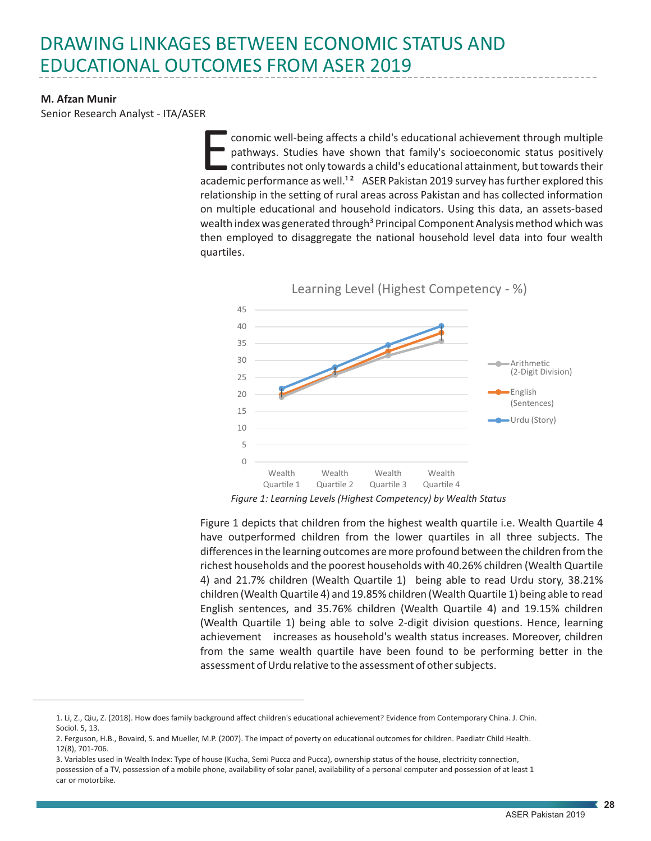## DRAWING LINKAGES BETWEEN ECONOMIC STATUS AND EDUCATIONAL OUTCOMES FROM ASER 2019

## **M. Afzan Munir**

Senior Research Analyst - ITA/ASER

conomic well-being affects a child's educational achievement through multiple<br>pathways. Studies have shown that family's socioeconomic status positively<br>contributes not only towards a child's educational attainment, but to conomic well-being affects a child's educational achievement through multiple pathways. Studies have shown that family's socioeconomic status positively contributes not only towards a child's educational attainment, but towards their relationship in the setting of rural areas across Pakistan and has collected information on multiple educational and household indicators. Using this data, an assets-based wealth index was generated through<sup>3</sup> Principal Component Analysis method which was then employed to disaggregate the national household level data into four wealth quartiles.



*Figure 1: Learning Levels (Highest Competency) by Wealth Status*

Figure 1 depicts that children from the highest wealth quartile i.e. Wealth Quartile 4 have outperformed children from the lower quartiles in all three subjects. The differences in the learning outcomes are more profound between the children from the richest households and the poorest households with 40.26% children (Wealth Quartile 4) and 21.7% children (Wealth Quartile 1) being able to read Urdu story, 38.21% children (Wealth Quartile 4) and 19.85% children (Wealth Quartile 1) being able to read English sentences, and 35.76% children (Wealth Quartile 4) and 19.15% children (Wealth Quartile 1) being able to solve 2-digit division questions. Hence, learning achievement increases as household's wealth status increases. Moreover, children from the same wealth quartile have been found to be performing better in the assessment of Urdu relative to the assessment of other subjects.

<sup>1.</sup> Li, Z., Qiu, Z. (2018). How does family background affect children's educational achievement? Evidence from Contemporary China. J. Chin. Sociol. 5, 13.

<sup>2.</sup> Ferguson, H.B., Bovaird, S. and Mueller, M.P. (2007). The impact of poverty on educational outcomes for children. Paediatr Child Health. 12(8), 701-706.

<sup>3.</sup> Variables used in Wealth Index: Type of house (Kucha, Semi Pucca and Pucca), ownership status of the house, electricity connection, possession of a TV, possession of a mobile phone, availability of solar panel, availability of a personal computer and possession of at least 1 car or motorbike.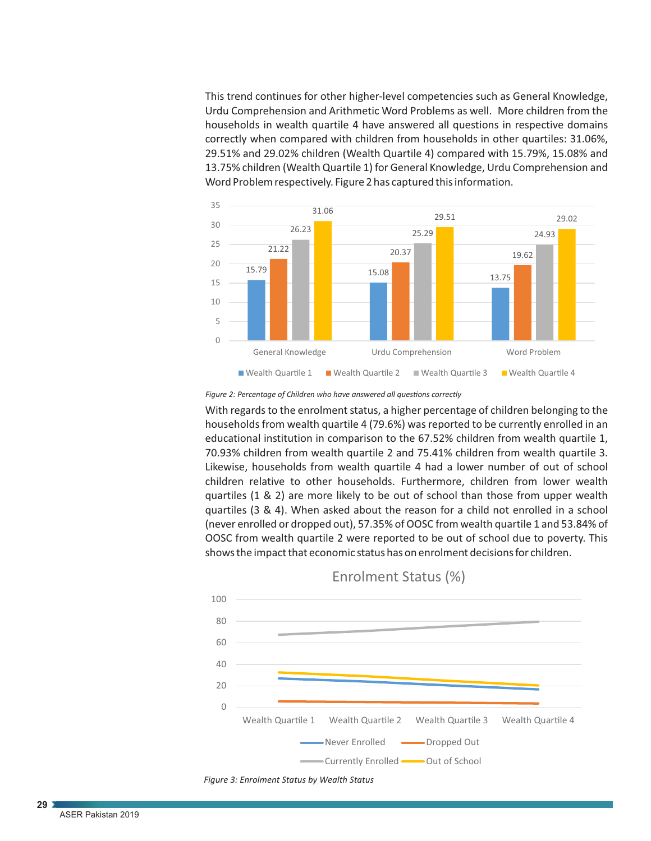This trend continues for other higher-level competencies such as General Knowledge, Urdu Comprehension and Arithmetic Word Problems as well. More children from the households in wealth quartile 4 have answered all questions in respective domains correctly when compared with children from households in other quartiles: 31.06%, 29.51% and 29.02% children (Wealth Quartile 4) compared with 15.79%, 15.08% and 13.75% children (Wealth Quartile 1) for General Knowledge, Urdu Comprehension and Word Problem respectively. Figure 2 has captured this information.



Figure 2: Percentage of Children who have answered all questions correctly

With regards to the enrolment status, a higher percentage of children belonging to the households from wealth quartile 4 (79.6%) was reported to be currently enrolled in an educational institution in comparison to the 67.52% children from wealth quartile 1, 70.93% children from wealth quartile 2 and 75.41% children from wealth quartile 3. Likewise, households from wealth quartile 4 had a lower number of out of school children relative to other households. Furthermore, children from lower wealth quartiles (1 & 2) are more likely to be out of school than those from upper wealth quartiles (3 & 4). When asked about the reason for a child not enrolled in a school (never enrolled or dropped out), 57.35% of OOSC from wealth quartile 1 and 53.84% of OOSC from wealth quartile 2 were reported to be out of school due to poverty. This shows the impact that economic status has on enrolment decisions for children.



Enrolment Status (%)



**29**